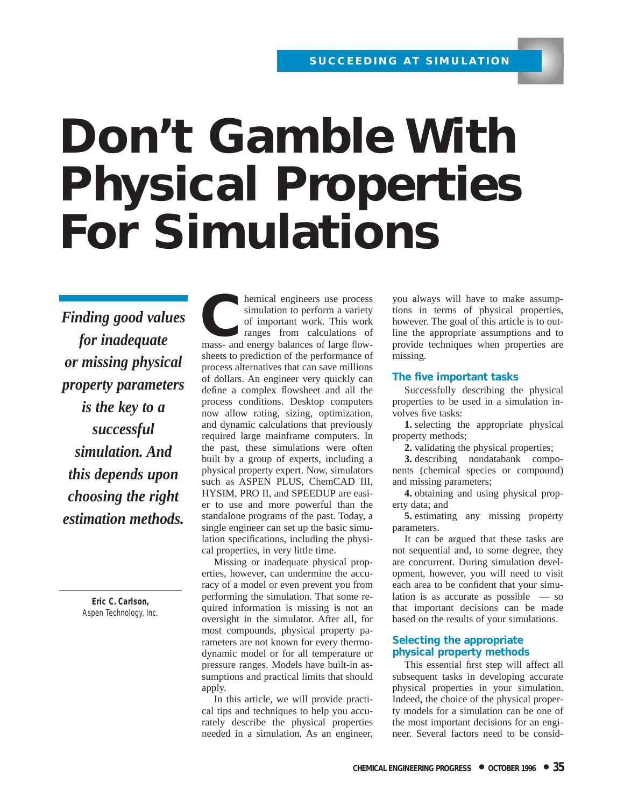# **Don't Gamble With Physical Properties For Simulations**

*Finding good values for inadequate or missing physical property parameters is the key to a successful simulation. And this depends upon choosing the right estimation methods.*

> **Eric C. Carlson,** Aspen Technology, Inc.

**CONFIDENTIFY ALC ENGINEER 18 AND THE SERVICE SIMULATION CONTINUES AND THE SERVICE SURFACE SIGNAL PROPERTY OF THE SERVICE SIGNAL PROPERTY OF THE SERVICE SIGNAL PROPERTY OF THE SERVICE SIGNAL PROPERTY OF THE SERVICE SIGNAL** simulation to perform a variety of important work. This work ranges from calculations of sheets to prediction of the performance of process alternatives that can save millions of dollars. An engineer very quickly can define a complex flowsheet and all the process conditions. Desktop computers now allow rating, sizing, optimization, and dynamic calculations that previously required large mainframe computers. In the past, these simulations were often built by a group of experts, including a physical property expert. Now, simulators such as ASPEN PLUS, ChemCAD III, HYSIM, PRO II, and SPEEDUP are easier to use and more powerful than the standalone programs of the past. Today, a single engineer can set up the basic simulation specifications, including the physical properties, in very little time.

Missing or inadequate physical properties, however, can undermine the accuracy of a model or even prevent you from performing the simulation. That some required information is missing is not an oversight in the simulator. After all, for most compounds, physical property parameters are not known for every thermodynamic model or for all temperature or pressure ranges. Models have built-in assumptions and practical limits that should apply.

In this article, we will provide practical tips and techniques to help you accurately describe the physical properties needed in a simulation. As an engineer, you always will have to make assumptions in terms of physical properties, however. The goal of this article is to outline the appropriate assumptions and to provide techniques when properties are missing.

#### **The five important tasks**

Successfully describing the physical properties to be used in a simulation involves five tasks:

**1.** selecting the appropriate physical property methods;

**2.** validating the physical properties;

**3.** describing nondatabank components (chemical species or compound) and missing parameters;

**4.** obtaining and using physical property data; and

**5.** estimating any missing property parameters.

It can be argued that these tasks are not sequential and, to some degree, they are concurrent. During simulation development, however, you will need to visit each area to be confident that your simulation is as accurate as possible — so that important decisions can be made based on the results of your simulations.

#### **Selecting the appropriate physical property methods**

This essential first step will affect all subsequent tasks in developing accurate physical properties in your simulation. Indeed, the choice of the physical property models for a simulation can be one of the most important decisions for an engineer. Several factors need to be consid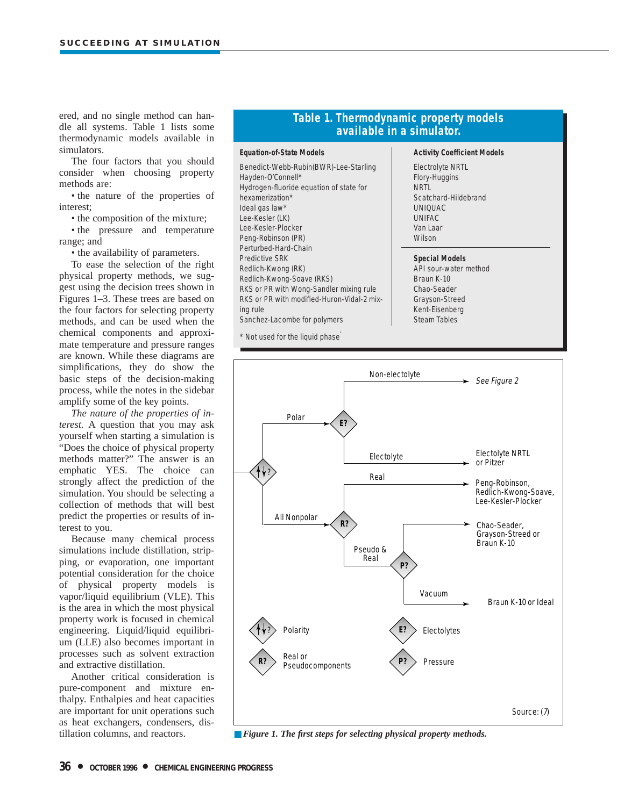ered, and no single method can handle all systems. Table 1 lists some thermodynamic models available in simulators.

The four factors that you should consider when choosing property methods are:

• the nature of the properties of interest;

• the composition of the mixture;

• the pressure and temperature range; and

• the availability of parameters.

To ease the selection of the right physical property methods, we suggest using the decision trees shown in Figures 1–3. These trees are based on the four factors for selecting property methods, and can be used when the chemical components and approximate temperature and pressure ranges are known. While these diagrams are simplifications, they do show the basic steps of the decision-making process, while the notes in the sidebar amplify some of the key points.

*The nature of the properties of interest.* A question that you may ask yourself when starting a simulation is "Does the choice of physical property methods matter?" The answer is an emphatic YES. The choice can strongly affect the prediction of the simulation. You should be selecting a collection of methods that will best predict the properties or results of interest to you.

Because many chemical process simulations include distillation, stripping, or evaporation, one important potential consideration for the choice of physical property models is vapor/liquid equilibrium (VLE). This is the area in which the most physical property work is focused in chemical engineering. Liquid/liquid equilibrium (LLE) also becomes important in processes such as solvent extraction and extractive distillation.

Another critical consideration is pure-component and mixture enthalpy. Enthalpies and heat capacities are important for unit operations such as heat exchangers, condensers, distillation columns, and reactors.

# **Table 1. Thermodynamic property models available in a simulator.**

#### **Equation-of-State Models**

Benedict-Webb-Rubin(BWR)-Lee-Starling Hayden-O'Connell\* Hydrogen-fluoride equation of state for hexamerization\* Ideal gas law\* Lee-Kesler (LK) Lee-Kesler-Plocker Peng-Robinson (PR) Perturbed-Hard-Chain Predictive SRK Redlich-Kwong (RK) Redlich-Kwong-Soave (RKS) RKS or PR with Wong-Sandler mixing rule RKS or PR with modified-Huron-Vidal-2 mixing rule Sanchez-Lacombe for polymers

\* Not used for the liquid phase.

#### **Activity Coefficient Models**

Electrolyte NRTL Flory-Huggins **NRTL** Scatchard-Hildebrand UNIQUAC UNIFAC Van Laar **Wilson** 

#### **Special Models**

API sour-water method Braun K-10 Chao-Seader Grayson-Streed Kent-Eisenberg Steam Tables



■ *Figure 1. The first steps for selecting physical property methods.*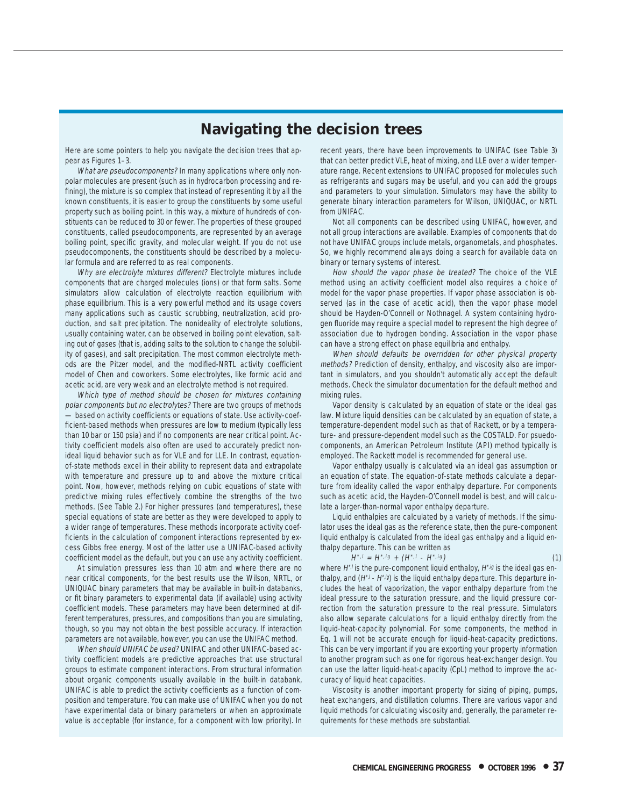# **Navigating the decision trees**

Here are some pointers to help you navigate the decision trees that appear as Figures 1–3.

What are pseudocomponents? In many applications where only nonpolar molecules are present (such as in hydrocarbon processing and refining), the mixture is so complex that instead of representing it by all the known constituents, it is easier to group the constituents by some useful property such as boiling point. In this way, a mixture of hundreds of constituents can be reduced to 30 or fewer. The properties of these grouped constituents, called pseudocomponents, are represented by an average boiling point, specific gravity, and molecular weight. If you do not use pseudocomponents, the constituents should be described by a molecular formula and are referred to as real components.

Why are electrolyte mixtures different? Electrolyte mixtures include components that are charged molecules (ions) or that form salts. Some simulators allow calculation of electrolyte reaction equilibrium with phase equilibrium. This is a very powerful method and its usage covers many applications such as caustic scrubbing, neutralization, acid production, and salt precipitation. The nonideality of electrolyte solutions, usually containing water, can be observed in boiling point elevation, salting out of gases (that is, adding salts to the solution to change the solubility of gases), and salt precipitation. The most common electrolyte methods are the Pitzer model, and the modified-NRTL activity coefficient model of Chen and coworkers. Some electrolytes, like formic acid and acetic acid, are very weak and an electrolyte method is not required.

Which type of method should be chosen for mixtures containing polar components but no electrolytes? There are two groups of methods — based on activity coefficients or equations of state. Use activity-coefficient-based methods when pressures are low to medium (typically less than 10 bar or 150 psia) and if no components are near critical point. Activity coefficient models also often are used to accurately predict nonideal liquid behavior such as for VLE and for LLE. In contrast, equationof-state methods excel in their ability to represent data and extrapolate with temperature and pressure up to and above the mixture critical point. Now, however, methods relying on cubic equations of state with predictive mixing rules effectively combine the strengths of the two methods. (See Table 2.) For higher pressures (and temperatures), these special equations of state are better as they were developed to apply to a wider range of temperatures. These methods incorporate activity coefficients in the calculation of component interactions represented by excess Gibbs free energy. Most of the latter use a UNIFAC-based activity coefficient model as the default, but you can use any activity coefficient.

At simulation pressures less than 10 atm and where there are no near critical components, for the best results use the Wilson, NRTL, or UNIQUAC binary parameters that may be available in built-in databanks, or fit binary parameters to experimental data (if available) using activity coefficient models. These parameters may have been determined at different temperatures, pressures, and compositions than you are simulating, though, so you may not obtain the best possible accuracy. If interaction parameters are not available, however, you can use the UNIFAC method.

When should UNIFAC be used? UNIFAC and other UNIFAC-based activity coefficient models are predictive approaches that use structural groups to estimate component interactions. From structural information about organic components usually available in the built-in databank, UNIFAC is able to predict the activity coefficients as a function of composition and temperature. You can make use of UNIFAC when you do not have experimental data or binary parameters or when an approximate value is acceptable (for instance, for a component with low priority). In recent years, there have been improvements to UNIFAC (see Table 3) that can better predict VLE, heat of mixing, and LLE over a wider temperature range. Recent extensions to UNIFAC proposed for molecules such as refrigerants and sugars may be useful, and you can add the groups and parameters to your simulation. Simulators may have the ability to generate binary interaction parameters for Wilson, UNIQUAC, or NRTL from UNIFAC.

Not all components can be described using UNIFAC, however, and not all group interactions are available. Examples of components that do not have UNIFAC groups include metals, organometals, and phosphates. So, we highly recommend always doing a search for available data on binary or ternary systems of interest.

How should the vapor phase be treated? The choice of the VLE method using an activity coefficient model also requires a choice of model for the vapor phase properties. If vapor phase association is observed (as in the case of acetic acid), then the vapor phase model should be Hayden-O'Connell or Nothnagel. A system containing hydrogen fluoride may require a special model to represent the high degree of association due to hydrogen bonding. Association in the vapor phase can have a strong effect on phase equilibria and enthalpy.

When should defaults be overridden for other physical property methods? Prediction of density, enthalpy, and viscosity also are important in simulators, and you shouldn't automatically accept the default methods. Check the simulator documentation for the default method and mixing rules.

Vapor density is calculated by an equation of state or the ideal gas law. Mixture liquid densities can be calculated by an equation of state, a temperature-dependent model such as that of Rackett, or by a temperature- and pressure-dependent model such as the COSTALD. For psuedocomponents, an American Petroleum Institute (API) method typically is employed. The Rackett model is recommended for general use.

Vapor enthalpy usually is calculated via an ideal gas assumption or an equation of state. The equation-of-state methods calculate a departure from ideality called the vapor enthalpy departure. For components such as acetic acid, the Hayden-O'Connell model is best, and will calculate a larger-than-normal vapor enthalpy departure.

Liquid enthalpies are calculated by a variety of methods. If the simulator uses the ideal gas as the reference state, then the pure-component liquid enthalpy is calculated from the ideal gas enthalpy and a liquid enthalpy departure. This can be written as

$$
H^{*,l} = H^{*,lg} + (H^{*,l} - H^{*,ig})
$$
 (1)

where  $H^*$  is the pure-component liquid enthalpy,  $H^*$ , $g$  is the ideal gas enthalpy, and  $(H^* \rightarrow H^* \mathscr{G})$  is the liquid enthalpy departure. This departure includes the heat of vaporization, the vapor enthalpy departure from the ideal pressure to the saturation pressure, and the liquid pressure correction from the saturation pressure to the real pressure. Simulators also allow separate calculations for a liquid enthalpy directly from the liquid-heat-capacity polynomial. For some components, the method in Eq. 1 will not be accurate enough for liquid-heat-capacity predictions. This can be very important if you are exporting your property information to another program such as one for rigorous heat-exchanger design. You can use the latter liquid-heat-capacity (CpL) method to improve the accuracy of liquid heat capacities.

Viscosity is another important property for sizing of piping, pumps, heat exchangers, and distillation columns. There are various vapor and liquid methods for calculating viscosity and, generally, the parameter requirements for these methods are substantial.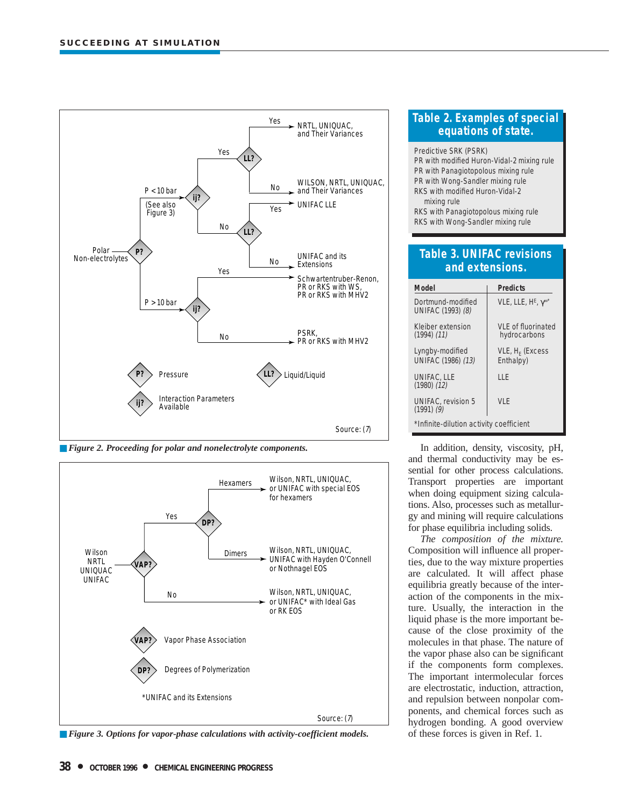

■ *Figure 2. Proceeding for polar and nonelectrolyte components.* 



■ *Figure 3. Options for vapor-phase calculations with activity-coefficient models.* 

# **Table 2. Examples of special equations of state.**

Predictive SRK (PSRK) PR with modified Huron-Vidal-2 mixing rule PR with Panagiotopolous mixing rule PR with Wong-Sandler mixing rule RKS with modified Huron-Vidal-2 mixing rule RKS with Panagiotopolous mixing rule RKS with Wong-Sandler mixing rule

# **Table 3. UNIFAC revisions and extensions.**

| Model                                       | <b>Predicts</b>                       |  |  |
|---------------------------------------------|---------------------------------------|--|--|
| Dortmund-modified<br>UNIFAC (1993) (8)      | VLE, LLE, $H^E$ , $\gamma^{\infty^*}$ |  |  |
| Kleiber extension<br>$(1994)$ $(11)$        | VLF of fluorinated<br>hydrocarbons    |  |  |
| Lyngby-modified<br>UNIFAC (1986) (13)       | $VLE, HF$ (Excess<br>Enthalpy)        |  |  |
| UNIFAC, LLE<br>$(1980)$ $(12)$              | ШF                                    |  |  |
| <b>UNIFAC, revision 5</b><br>$(1991)$ $(9)$ | VI F                                  |  |  |
| *Infinite-dilution activity coefficient     |                                       |  |  |

In addition, density, viscosity, pH, and thermal conductivity may be essential for other process calculations. Transport properties are important when doing equipment sizing calculations. Also, processes such as metallurgy and mining will require calculations for phase equilibria including solids.

*The composition of the mixture.* Composition will influence all properties, due to the way mixture properties are calculated. It will affect phase equilibria greatly because of the interaction of the components in the mixture. Usually, the interaction in the liquid phase is the more important because of the close proximity of the molecules in that phase. The nature of the vapor phase also can be significant if the components form complexes. The important intermolecular forces are electrostatic, induction, attraction, and repulsion between nonpolar components, and chemical forces such as hydrogen bonding. A good overview of these forces is given in Ref. 1.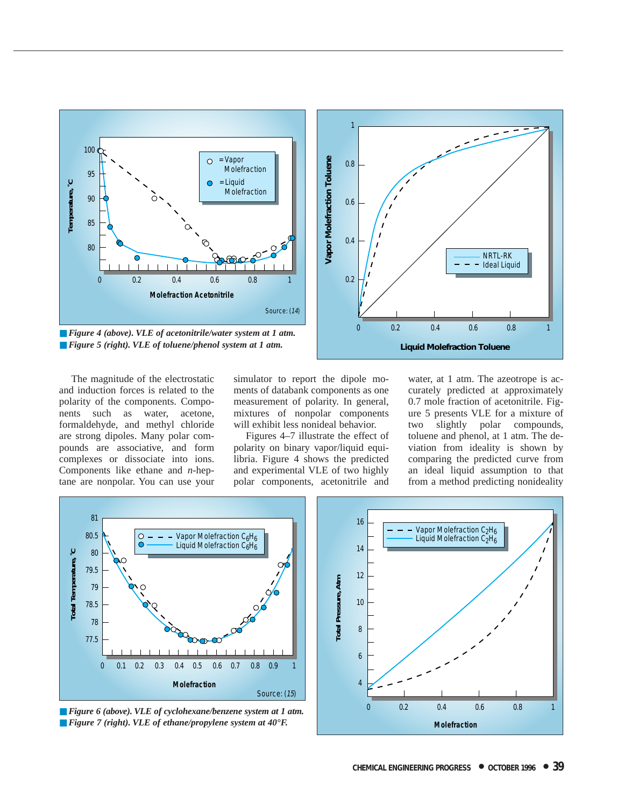

■ *Figure 4 (above). VLE of acetonitrile/water system at 1 atm.* ■ *Figure 5 (right). VLE of toluene/phenol system at 1 atm.* 



The magnitude of the electrostatic and induction forces is related to the polarity of the components. Components such as water, acetone, formaldehyde, and methyl chloride are strong dipoles. Many polar compounds are associative, and form complexes or dissociate into ions. Components like ethane and *n*-heptane are nonpolar. You can use your simulator to report the dipole moments of databank components as one measurement of polarity. In general, mixtures of nonpolar components will exhibit less nonideal behavior.

Figures 4–7 illustrate the effect of polarity on binary vapor/liquid equilibria. Figure 4 shows the predicted and experimental VLE of two highly polar components, acetonitrile and

water, at 1 atm. The azeotrope is accurately predicted at approximately 0.7 mole fraction of acetonitrile. Figure 5 presents VLE for a mixture of two slightly polar compounds, toluene and phenol, at 1 atm. The deviation from ideality is shown by comparing the predicted curve from an ideal liquid assumption to that from a method predicting nonideality



■ *Figure 6 (above). VLE of cyclohexane/benzene system at 1 atm.* ■ *Figure 7 (right). VLE of ethane/propylene system at 40* °F.

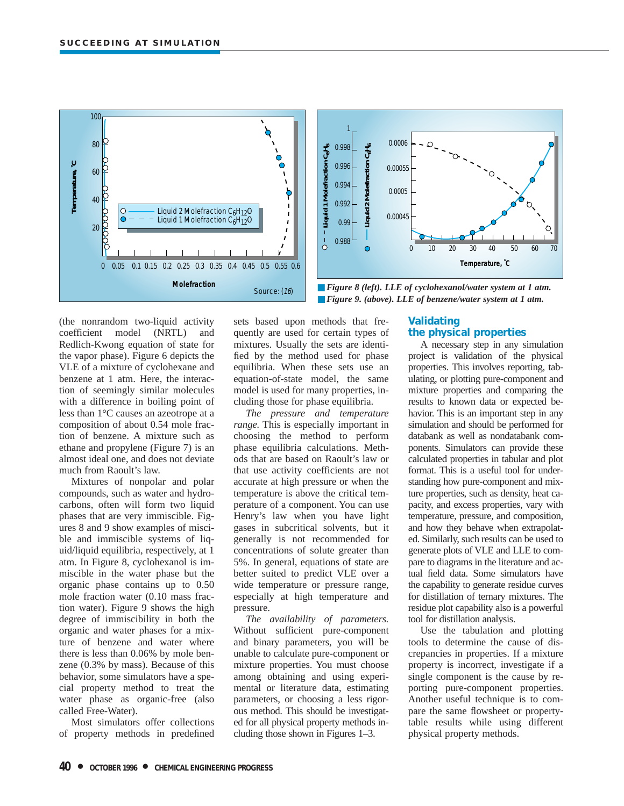

(the nonrandom two-liquid activity coefficient model (NRTL) and Redlich-Kwong equation of state for the vapor phase). Figure 6 depicts the VLE of a mixture of cyclohexane and benzene at 1 atm. Here, the interaction of seemingly similar molecules with a difference in boiling point of less than 1°C causes an azeotrope at a composition of about 0.54 mole fraction of benzene. A mixture such as ethane and propylene (Figure 7) is an almost ideal one, and does not deviate much from Raoult's law.

Mixtures of nonpolar and polar compounds, such as water and hydrocarbons, often will form two liquid phases that are very immiscible. Figures 8 and 9 show examples of miscible and immiscible systems of liquid/liquid equilibria, respectively, at 1 atm. In Figure 8, cyclohexanol is immiscible in the water phase but the organic phase contains up to 0.50 mole fraction water (0.10 mass fraction water). Figure 9 shows the high degree of immiscibility in both the organic and water phases for a mixture of benzene and water where there is less than 0.06% by mole benzene (0.3% by mass). Because of this behavior, some simulators have a special property method to treat the water phase as organic-free (also called Free-Water).

Most simulators offer collections of property methods in predefined sets based upon methods that frequently are used for certain types of mixtures. Usually the sets are identified by the method used for phase equilibria. When these sets use an equation-of-state model, the same model is used for many properties, including those for phase equilibria.

*The pressure and temperature range.* This is especially important in choosing the method to perform phase equilibria calculations. Methods that are based on Raoult's law or that use activity coefficients are not accurate at high pressure or when the temperature is above the critical temperature of a component. You can use Henry's law when you have light gases in subcritical solvents, but it generally is not recommended for concentrations of solute greater than 5%. In general, equations of state are better suited to predict VLE over a wide temperature or pressure range, especially at high temperature and pressure.

*The availability of parameters.* Without sufficient pure-component and binary parameters, you will be unable to calculate pure-component or mixture properties. You must choose among obtaining and using experimental or literature data, estimating parameters, or choosing a less rigorous method. This should be investigated for all physical property methods including those shown in Figures 1–3.

# **Validating the physical properties**

A necessary step in any simulation project is validation of the physical properties. This involves reporting, tabulating, or plotting pure-component and mixture properties and comparing the results to known data or expected behavior. This is an important step in any simulation and should be performed for databank as well as nondatabank components. Simulators can provide these calculated properties in tabular and plot format. This is a useful tool for understanding how pure-component and mixture properties, such as density, heat capacity, and excess properties, vary with temperature, pressure, and composition, and how they behave when extrapolated. Similarly, such results can be used to generate plots of VLE and LLE to compare to diagrams in the literature and actual field data. Some simulators have the capability to generate residue curves for distillation of ternary mixtures. The residue plot capability also is a powerful tool for distillation analysis.

Use the tabulation and plotting tools to determine the cause of discrepancies in properties. If a mixture property is incorrect, investigate if a single component is the cause by reporting pure-component properties. Another useful technique is to compare the same flowsheet or propertytable results while using different physical property methods.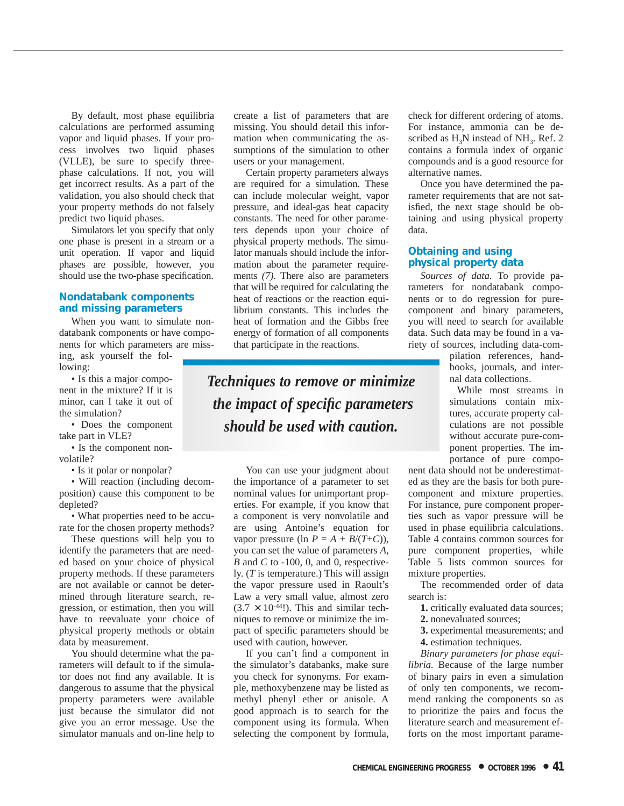By default, most phase equilibria calculations are performed assuming vapor and liquid phases. If your process involves two liquid phases (VLLE), be sure to specify threephase calculations. If not, you will get incorrect results. As a part of the validation, you also should check that your property methods do not falsely predict two liquid phases.

Simulators let you specify that only one phase is present in a stream or a unit operation. If vapor and liquid phases are possible, however, you should use the two-phase specification.

## **Nondatabank components and missing parameters**

When you want to simulate nondatabank components or have components for which parameters are miss-

ing, ask yourself the following: • Is this a major compo-

nent in the mixture? If it is minor, can I take it out of the simulation?

• Does the component take part in VLE?

• Is the component nonvolatile?

• Is it polar or nonpolar?

• Will reaction (including decomposition) cause this component to be depleted?

• What properties need to be accurate for the chosen property methods?

These questions will help you to identify the parameters that are needed based on your choice of physical property methods. If these parameters are not available or cannot be determined through literature search, regression, or estimation, then you will have to reevaluate your choice of physical property methods or obtain data by measurement.

You should determine what the parameters will default to if the simulator does not find any available. It is dangerous to assume that the physical property parameters were available just because the simulator did not give you an error message. Use the simulator manuals and on-line help to

create a list of parameters that are missing. You should detail this information when communicating the assumptions of the simulation to other users or your management.

Certain property parameters always are required for a simulation. These can include molecular weight, vapor pressure, and ideal-gas heat capacity constants. The need for other parameters depends upon your choice of physical property methods. The simulator manuals should include the information about the parameter requirements *(7)*. There also are parameters that will be required for calculating the heat of reactions or the reaction equilibrium constants. This includes the heat of formation and the Gibbs free energy of formation of all components that participate in the reactions.

*Techniques to remove or minimize the impact of specific parameters should be used with caution.*

> You can use your judgment about the importance of a parameter to set nominal values for unimportant properties. For example, if you know that a component is very nonvolatile and are using Antoine's equation for vapor pressure (ln  $P = A + B/(T+C)$ ), you can set the value of parameters *A*, *B* and *C* to -100, 0, and 0, respectively. (*T* is temperature.) This will assign the vapor pressure used in Raoult's Law a very small value, almost zero  $(3.7 \times 10^{-44}!)$ . This and similar techniques to remove or minimize the impact of specific parameters should be used with caution, however.

> If you can't find a component in the simulator's databanks, make sure you check for synonyms. For example, methoxybenzene may be listed as methyl phenyl ether or anisole. A good approach is to search for the component using its formula. When selecting the component by formula,

check for different ordering of atoms. For instance, ammonia can be described as  $H_3N$  instead of  $NH_3$ . Ref. 2 contains a formula index of organic compounds and is a good resource for alternative names.

Once you have determined the parameter requirements that are not satisfied, the next stage should be obtaining and using physical property data.

## **Obtaining and using physical property data**

*Sources of data.* To provide parameters for nondatabank components or to do regression for purecomponent and binary parameters, you will need to search for available data. Such data may be found in a variety of sources, including data-com-

> pilation references, handbooks, journals, and internal data collections.

While most streams in simulations contain mixtures, accurate property calculations are not possible without accurate pure-component properties. The importance of pure compo-

nent data should not be underestimated as they are the basis for both purecomponent and mixture properties. For instance, pure component properties such as vapor pressure will be used in phase equilibria calculations. Table 4 contains common sources for pure component properties, while Table 5 lists common sources for mixture properties.

The recommended order of data search is:

**1.** critically evaluated data sources;

**2.** nonevaluated sources;

**3.** experimental measurements; and

**4.** estimation techniques.

*Binary parameters for phase equilibria.* Because of the large number of binary pairs in even a simulation of only ten components, we recommend ranking the components so as to prioritize the pairs and focus the literature search and measurement efforts on the most important parame-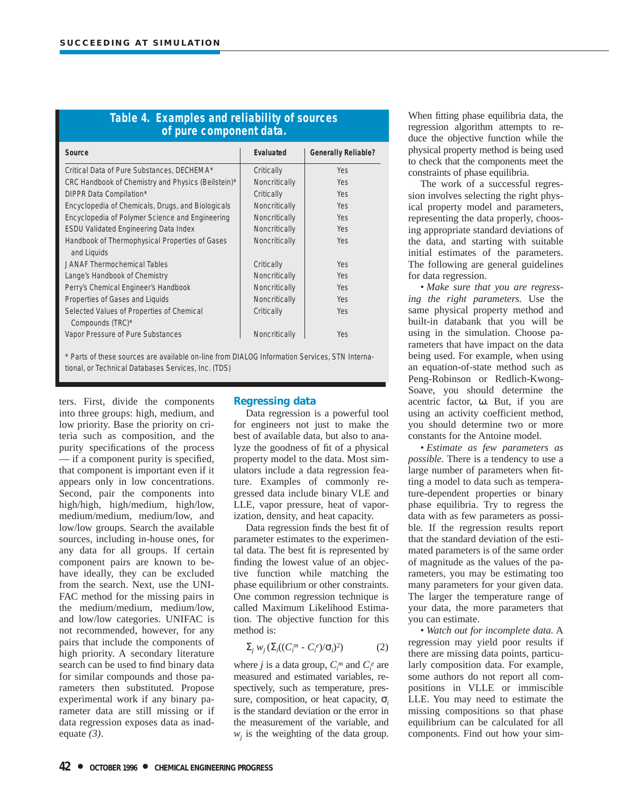| Table 4. Examples and reliability of sources<br>of pure component data. |               |                            |  |  |  |
|-------------------------------------------------------------------------|---------------|----------------------------|--|--|--|
| Source                                                                  | Evaluated     | <b>Generally Reliable?</b> |  |  |  |
| Critical Data of Pure Substances, DECHEMA*                              | Critically    | <b>Yes</b>                 |  |  |  |
| CRC Handbook of Chemistry and Physics (Beilstein)*                      | Noncritically | Yes                        |  |  |  |
| DIPPR Data Compilation*                                                 | Critically    | Yes                        |  |  |  |
| Encyclopedia of Chemicals, Drugs, and Biologicals                       | Noncritically | Yes                        |  |  |  |
| Encyclopedia of Polymer Science and Engineering                         | Noncritically | Yes                        |  |  |  |
| <b>ESDU Validated Engineering Data Index</b>                            | Noncritically | Yes                        |  |  |  |
| Handbook of Thermophysical Properties of Gases<br>and Liquids           | Noncritically | Yes                        |  |  |  |
| JANAF Thermochemical Tables                                             | Critically    | Yes                        |  |  |  |
| Lange's Handbook of Chemistry                                           | Noncritically | Yes                        |  |  |  |
| Perry's Chemical Engineer's Handbook                                    | Noncritically | Yes                        |  |  |  |
| Properties of Gases and Liquids                                         | Noncritically | Yes                        |  |  |  |
| Selected Values of Properties of Chemical<br>Compounds (TRC)*           | Critically    | <b>Yes</b>                 |  |  |  |
| Vapor Pressure of Pure Substances                                       | Noncritically | <b>Yes</b>                 |  |  |  |

\* Parts of these sources are available on-line from DIALOG Information Services, STN Interna-

tional, or Technical Databases Services, Inc. (TDS)

ters. First, divide the components into three groups: high, medium, and low priority. Base the priority on criteria such as composition, and the purity specifications of the process — if a component purity is specified, that component is important even if it appears only in low concentrations. Second, pair the components into high/high, high/medium, high/low, medium/medium, medium/low, and low/low groups. Search the available sources, including in-house ones, for any data for all groups. If certain component pairs are known to behave ideally, they can be excluded from the search. Next, use the UNI-FAC method for the missing pairs in the medium/medium, medium/low, and low/low categories. UNIFAC is not recommended, however, for any pairs that include the components of high priority. A secondary literature search can be used to find binary data for similar compounds and those parameters then substituted. Propose experimental work if any binary parameter data are still missing or if data regression exposes data as inadequate *(3)*.

# **Regressing data**

Data regression is a powerful tool for engineers not just to make the best of available data, but also to analyze the goodness of fit of a physical property model to the data. Most simulators include a data regression feature. Examples of commonly regressed data include binary VLE and LLE, vapor pressure, heat of vaporization, density, and heat capacity.

Data regression finds the best fit of parameter estimates to the experimental data. The best fit is represented by finding the lowest value of an objective function while matching the phase equilibrium or other constraints. One common regression technique is called Maximum Likelihood Estimation. The objective function for this method is:

$$
\Sigma_j w_j (\Sigma_i ((C_i^m - C_i^e) / \sigma_i)^2)
$$
 (2)

where *j* is a data group,  $C_i^m$  and  $C_i^e$  are measured and estimated variables, respectively, such as temperature, pressure, composition, or heat capacity, σ*<sup>i</sup>* is the standard deviation or the error in the measurement of the variable, and  $w_i$  is the weighting of the data group.

When fitting phase equilibria data, the regression algorithm attempts to reduce the objective function while the physical property method is being used to check that the components meet the constraints of phase equilibria.

The work of a successful regression involves selecting the right physical property model and parameters, representing the data properly, choosing appropriate standard deviations of the data, and starting with suitable initial estimates of the parameters. The following are general guidelines for data regression.

• *Make sure that you are regressing the right parameters.* Use the same physical property method and built-in databank that you will be using in the simulation. Choose parameters that have impact on the data being used. For example, when using an equation-of-state method such as Peng-Robinson or Redlich-Kwong-Soave, you should determine the acentric factor, ω. But, if you are using an activity coefficient method, you should determine two or more constants for the Antoine model.

• *Estimate as few parameters as possible.* There is a tendency to use a large number of parameters when fitting a model to data such as temperature-dependent properties or binary phase equilibria. Try to regress the data with as few parameters as possible. If the regression results report that the standard deviation of the estimated parameters is of the same order of magnitude as the values of the parameters, you may be estimating too many parameters for your given data. The larger the temperature range of your data, the more parameters that you can estimate.

• *Watch out for incomplete data.* A regression may yield poor results if there are missing data points, particularly composition data. For example, some authors do not report all compositions in VLLE or immiscible LLE. You may need to estimate the missing compositions so that phase equilibrium can be calculated for all components. Find out how your sim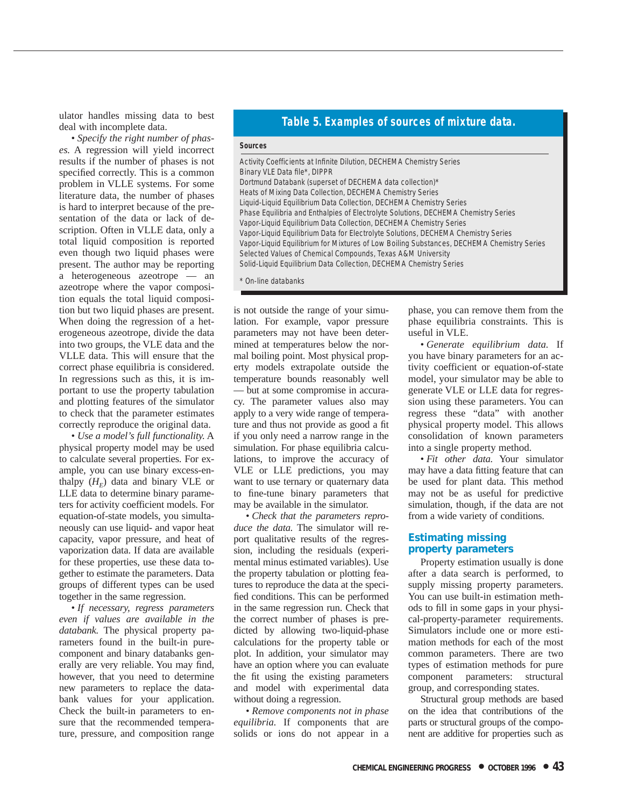ulator handles missing data to best deal with incomplete data.

• *Specify the right number of phases.* A regression will yield incorrect results if the number of phases is not specified correctly. This is a common problem in VLLE systems. For some literature data, the number of phases is hard to interpret because of the presentation of the data or lack of description. Often in VLLE data, only a total liquid composition is reported even though two liquid phases were present. The author may be reporting a heterogeneous azeotrope — an azeotrope where the vapor composition equals the total liquid composition but two liquid phases are present. When doing the regression of a heterogeneous azeotrope, divide the data into two groups, the VLE data and the VLLE data. This will ensure that the correct phase equilibria is considered. In regressions such as this, it is important to use the property tabulation and plotting features of the simulator to check that the parameter estimates correctly reproduce the original data.

• *Use a model's full functionality.* A physical property model may be used to calculate several properties. For example, you can use binary excess-enthalpy  $(H_F)$  data and binary VLE or LLE data to determine binary parameters for activity coefficient models. For equation-of-state models, you simultaneously can use liquid- and vapor heat capacity, vapor pressure, and heat of vaporization data. If data are available for these properties, use these data together to estimate the parameters. Data groups of different types can be used together in the same regression.

• *If necessary, regress parameters even if values are available in the databank.* The physical property parameters found in the built-in purecomponent and binary databanks generally are very reliable. You may find, however, that you need to determine new parameters to replace the databank values for your application. Check the built-in parameters to ensure that the recommended temperature, pressure, and composition range

## **Table 5. Examples of sources of mixture data.**

#### **Sources**

Activity Coefficients at Infinite Dilution, DECHEMA Chemistry Series Binary VLE Data file\*, DIPPR Dortmund Databank (superset of DECHEMA data collection)\* Heats of Mixing Data Collection, DECHEMA Chemistry Series Liquid-Liquid Equilibrium Data Collection, DECHEMA Chemistry Series Phase Equilibria and Enthalpies of Electrolyte Solutions, DECHEMA Chemistry Series Vapor-Liquid Equilibrium Data Collection, DECHEMA Chemistry Series Vapor-Liquid Equilibrium Data for Electrolyte Solutions, DECHEMA Chemistry Series Vapor-Liquid Equilibrium for Mixtures of Low Boiling Substances, DECHEMA Chemistry Series Selected Values of Chemical Compounds, Texas A&M University Solid-Liquid Equilibrium Data Collection, DECHEMA Chemistry Series

\* On-line databanks

is not outside the range of your simulation. For example, vapor pressure parameters may not have been determined at temperatures below the normal boiling point. Most physical property models extrapolate outside the temperature bounds reasonably well — but at some compromise in accuracy. The parameter values also may apply to a very wide range of temperature and thus not provide as good a fit if you only need a narrow range in the simulation. For phase equilibria calculations, to improve the accuracy of VLE or LLE predictions, you may want to use ternary or quaternary data to fine-tune binary parameters that may be available in the simulator.

• *Check that the parameters reproduce the data.* The simulator will report qualitative results of the regression, including the residuals (experimental minus estimated variables). Use the property tabulation or plotting features to reproduce the data at the specified conditions. This can be performed in the same regression run. Check that the correct number of phases is predicted by allowing two-liquid-phase calculations for the property table or plot. In addition, your simulator may have an option where you can evaluate the fit using the existing parameters and model with experimental data without doing a regression.

• *Remove components not in phase equilibria.* If components that are solids or ions do not appear in a

phase, you can remove them from the phase equilibria constraints. This is useful in VLE.

• *Generate equilibrium data.* If you have binary parameters for an activity coefficient or equation-of-state model, your simulator may be able to generate VLE or LLE data for regression using these parameters. You can regress these "data" with another physical property model. This allows consolidation of known parameters into a single property method.

• *Fit other data.* Your simulator may have a data fitting feature that can be used for plant data. This method may not be as useful for predictive simulation, though, if the data are not from a wide variety of conditions.

## **Estimating missing property parameters**

Property estimation usually is done after a data search is performed, to supply missing property parameters. You can use built-in estimation methods to fill in some gaps in your physical-property-parameter requirements. Simulators include one or more estimation methods for each of the most common parameters. There are two types of estimation methods for pure component parameters: structural group, and corresponding states.

Structural group methods are based on the idea that contributions of the parts or structural groups of the component are additive for properties such as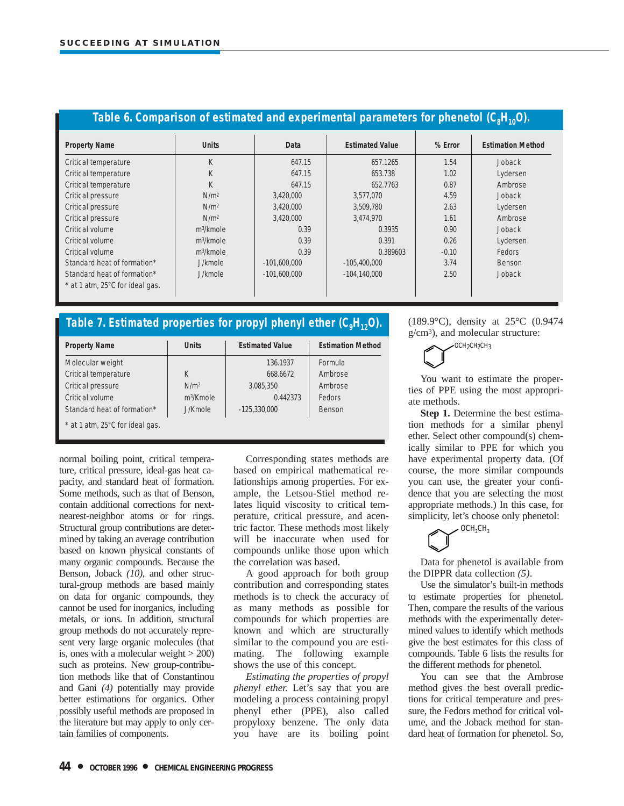| Table 6. Comparison of estimated and experimental parameters for phenetol $(C_8H_{10}O)$ . |                       |                |                        |         |                          |
|--------------------------------------------------------------------------------------------|-----------------------|----------------|------------------------|---------|--------------------------|
| <b>Property Name</b>                                                                       | <b>Units</b>          | Data           | <b>Estimated Value</b> | % Error | <b>Estimation Method</b> |
| Critical temperature                                                                       | K                     | 647.15         | 657.1265               | 1.54    | Joback                   |
| Critical temperature                                                                       | K                     | 647.15         | 653.738                | 1.02    | Lydersen                 |
| Critical temperature                                                                       | K                     | 647.15         | 652.7763               | 0.87    | Ambrose                  |
| Critical pressure                                                                          | N/m <sup>2</sup>      | 3.420.000      | 3,577,070              | 4.59    | Joback                   |
| Critical pressure                                                                          | N/m <sup>2</sup>      | 3,420,000      | 3,509,780              | 2.63    | Lydersen                 |
| Critical pressure                                                                          | N/m <sup>2</sup>      | 3,420,000      | 3.474.970              | 1.61    | Ambrose                  |
| Critical volume                                                                            | $m^3/k$ mole          | 0.39           | 0.3935                 | 0.90    | Joback                   |
| Critical volume                                                                            | m <sup>3</sup> /kmole | 0.39           | 0.391                  | 0.26    | Lydersen                 |
| Critical volume                                                                            | m <sup>3</sup> /kmole | 0.39           | 0.389603               | $-0.10$ | Fedors                   |
| Standard heat of formation*                                                                | J/kmole               | $-101.600.000$ | $-105.400.000$         | 3.74    | <b>Benson</b>            |
| Standard heat of formation*                                                                | J/kmole               | $-101,600,000$ | $-104.140.000$         | 2.50    | <b>Joback</b>            |
| * at 1 atm, 25°C for ideal gas.                                                            |                       |                |                        |         |                          |

# Table 7. Estimated properties for propyl phenyl ether (C<sub>o</sub>H<sub>12</sub>O).

| <b>Property Name</b>            | <b>Units</b>     | <b>Estimated Value</b> | <b>Estimation Method</b> |
|---------------------------------|------------------|------------------------|--------------------------|
| Molecular weight                |                  | 136.1937               | Formula                  |
| Critical temperature            | K                | 668.6672               | Ambrose                  |
| Critical pressure               | N/m <sup>2</sup> | 3,085,350              | Ambrose                  |
| Critical volume                 | $m^3/K$ mole     | 0.442373               | Fedors                   |
| Standard heat of formation*     | J/Kmole          | $-125.330.000$         | Benson                   |
| * at 1 atm, 25°C for ideal gas. |                  |                        |                          |

normal boiling point, critical temperature, critical pressure, ideal-gas heat capacity, and standard heat of formation. Some methods, such as that of Benson, contain additional corrections for nextnearest-neighbor atoms or for rings. Structural group contributions are determined by taking an average contribution based on known physical constants of many organic compounds. Because the Benson, Joback *(10)*, and other structural-group methods are based mainly on data for organic compounds, they cannot be used for inorganics, including metals, or ions. In addition, structural group methods do not accurately represent very large organic molecules (that is, ones with a molecular weight > 200) such as proteins. New group-contribution methods like that of Constantinou and Gani *(4)* potentially may provide better estimations for organics. Other possibly useful methods are proposed in the literature but may apply to only certain families of components.

Corresponding states methods are based on empirical mathematical relationships among properties. For example, the Letsou-Stiel method relates liquid viscosity to critical temperature, critical pressure, and acentric factor. These methods most likely will be inaccurate when used for compounds unlike those upon which the correlation was based.

A good approach for both group contribution and corresponding states methods is to check the accuracy of as many methods as possible for compounds for which properties are known and which are structurally similar to the compound you are estimating. The following example shows the use of this concept.

*Estimating the properties of propyl phenyl ether.* Let's say that you are modeling a process containing propyl phenyl ether (PPE), also called propyloxy benzene. The only data you have are its boiling point (189.9°C), density at 25°C (0.9474 g/cm3), and molecular structure:



You want to estimate the properties of PPE using the most appropriate methods.

**Step 1.** Determine the best estimation methods for a similar phenyl ether. Select other compound(s) chemically similar to PPE for which you have experimental property data. (Of course, the more similar compounds you can use, the greater your confidence that you are selecting the most appropriate methods.) In this case, for simplicity, let's choose only phenetol:



Data for phenetol is available from the DIPPR data collection *(5)*.

Use the simulator's built-in methods to estimate properties for phenetol. Then, compare the results of the various methods with the experimentally determined values to identify which methods give the best estimates for this class of compounds. Table 6 lists the results for the different methods for phenetol.

You can see that the Ambrose method gives the best overall predictions for critical temperature and pressure, the Fedors method for critical volume, and the Joback method for standard heat of formation for phenetol. So,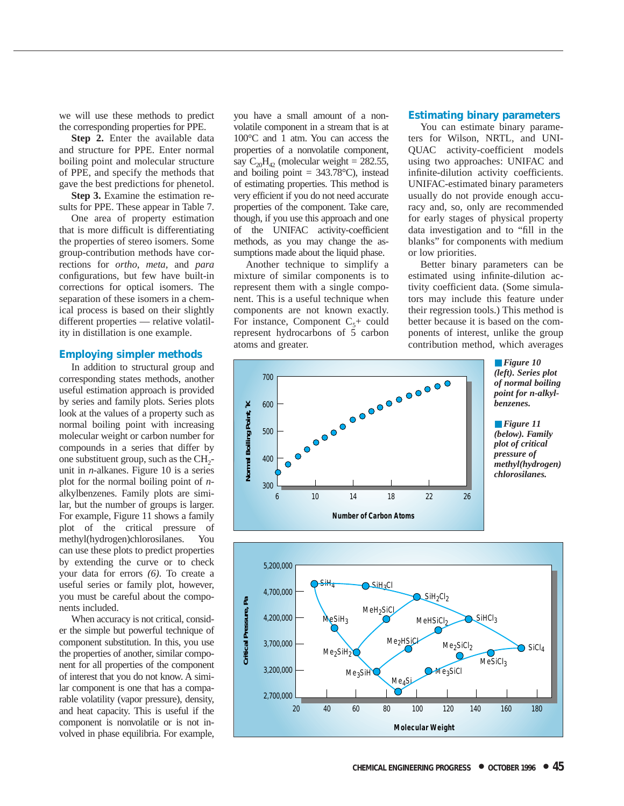we will use these methods to predict the corresponding properties for PPE.

**Step 2.** Enter the available data and structure for PPE. Enter normal boiling point and molecular structure of PPE, and specify the methods that gave the best predictions for phenetol.

**Step 3.** Examine the estimation results for PPE. These appear in Table 7.

One area of property estimation that is more difficult is differentiating the properties of stereo isomers. Some group-contribution methods have corrections for *ortho*, *meta,* and *para* configurations, but few have built-in corrections for optical isomers. The separation of these isomers in a chemical process is based on their slightly different properties — relative volatility in distillation is one example.

## **Employing simpler methods**

In addition to structural group and corresponding states methods, another useful estimation approach is provided by series and family plots. Series plots look at the values of a property such as normal boiling point with increasing molecular weight or carbon number for compounds in a series that differ by one substituent group, such as the  $CH<sub>2</sub>$ unit in *n*-alkanes. Figure 10 is a series plot for the normal boiling point of *n*alkylbenzenes. Family plots are similar, but the number of groups is larger. For example, Figure 11 shows a family plot of the critical pressure of methyl(hydrogen)chlorosilanes. You can use these plots to predict properties by extending the curve or to check your data for errors *(6)*. To create a useful series or family plot, however, you must be careful about the components included.

When accuracy is not critical, consider the simple but powerful technique of component substitution. In this, you use the properties of another, similar component for all properties of the component of interest that you do not know. A similar component is one that has a comparable volatility (vapor pressure), density, and heat capacity. This is useful if the component is nonvolatile or is not involved in phase equilibria. For example,

you have a small amount of a nonvolatile component in a stream that is at 100°C and 1 atm. You can access the properties of a nonvolatile component, say  $C_{20}H_{42}$  (molecular weight = 282.55, and boiling point  $= 343.78$ °C), instead of estimating properties. This method is very efficient if you do not need accurate properties of the component. Take care, though, if you use this approach and one of the UNIFAC activity-coefficient methods, as you may change the assumptions made about the liquid phase.

Another technique to simplify a mixture of similar components is to represent them with a single component. This is a useful technique when components are not known exactly. For instance, Component  $C_5$ + could represent hydrocarbons of 5 carbon atoms and greater.

#### **Estimating binary parameters**

You can estimate binary parameters for Wilson, NRTL, and UNI-QUAC activity-coefficient models using two approaches: UNIFAC and infinite-dilution activity coefficients. UNIFAC-estimated binary parameters usually do not provide enough accuracy and, so, only are recommended for early stages of physical property data investigation and to "fill in the blanks" for components with medium or low priorities.

Better binary parameters can be estimated using infinite-dilution activity coefficient data. (Some simulators may include this feature under their regression tools.) This method is better because it is based on the components of interest, unlike the group contribution method, which averages





■ **Figure** 11 *(below). Family plot of critical pressure of methyl(hydrogen) chlorosilanes.*